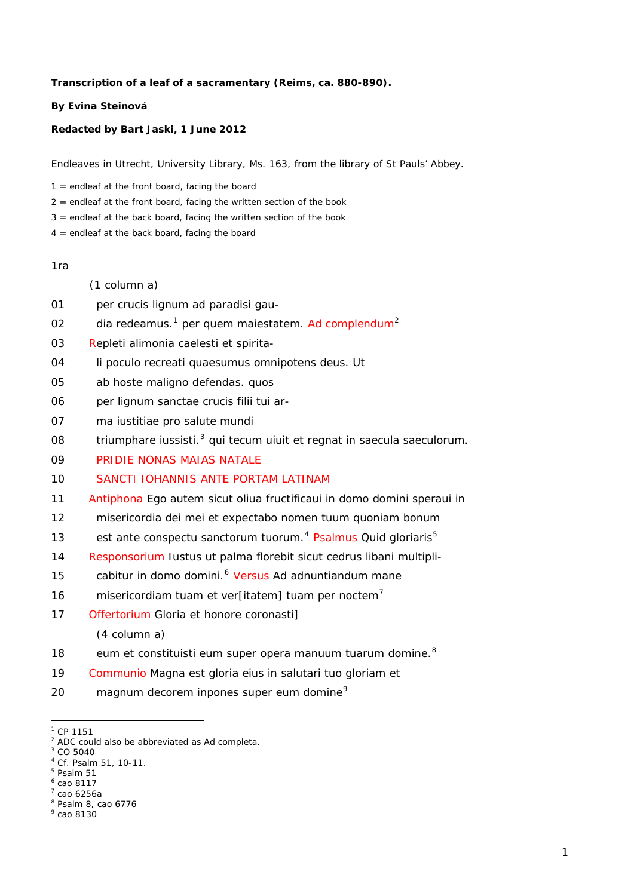#### **Transcription of a leaf of a sacramentary (Reims, ca. 880-890).**

### **By Evina Steinová**

### **Redacted by Bart Jaski, 1 June 2012**

Endleaves in Utrecht, University Library, Ms. 163, from the library of St Pauls' Abbey.

 $1 =$  endleaf at the front board, facing the board

- $2 =$  endleaf at the front board, facing the written section of the book
- $3$  = endleaf at the back board, facing the written section of the book
- $4 =$  endleaf at the back board, facing the board

#### 1ra

- (1 column a)
- 01 per crucis lignum ad paradisi gau-
- 02 dia redeamus.[1](#page-0-0) p*er* que*m maiestatem*. Ad c*omplendum*[2](#page-0-1)
- 03 Repleti alimonia caelesti *et* spirita-
- 04 li poculo recreati q*uaesumu*s om*ni*p*oten*s d*eu*s. Ut
- 05 ab hoste maligno defendas. quos
- 06 per lignum s*an*c*t*ae crucis filii tui ar-
- 07 ma iustitiae pro salute mundi
- 08 triumphare iussisti.[3](#page-0-2) qui tec*um* uiu*it et regnat in saecula saeculorum*.
- 09 PRID*IE* NON*AS* MAI*AS* NATALE
- 10 S*AN*C*T*I IOH*ANNIS* ANTE PORTA*M* LATINA*M*
- 11 A*ntiphona* Ego aut*em* sicut oliua fructificaui in domo d*omi*ni speraui in
- 12 misericordia d*e*i mei *et* expectabo nomen tuu*m* q*uonia*m bonu*m*
- 13 est ante conspectu s*an*c*t*oru*m* tuoru*m.*[4](#page-0-3) Ps*a*l*mus* Quid gloriar*is*[5](#page-0-4)
- 14 R*esponsorium* Iustus ut palma florebit sicut cedrus libani multipli-
- 15 cabitur in domo d*omi*ni.[6](#page-0-5) V*ersus* Ad adnuntiandu*m* mane
- 16 misericordia*m* tua*m et* ver[itatem] tua*m* per noctem[7](#page-0-6)
- 17 Of*fertorium* Gloria et honore coronasti] (4 column a)
- 18 eum *et* constituisti eum super opera manuu*m* tuaru*m* d*omi*ne.[8](#page-0-7)
- 19 Co*mmunio* Magna est gloria eius in salutari tuo gloria*m et*
- 20 magnu*m* decorem inpones super eum d*omi*ne[9](#page-0-8)

-

<span id="page-0-0"></span> $1$  CP 1151

<span id="page-0-1"></span><sup>&</sup>lt;sup>2</sup> ADC could also be abbreviated as *Ad completa*.

<span id="page-0-2"></span> $3^3$  CO 5040

<sup>4</sup> Cf. Psalm 51, 10-11.

<span id="page-0-4"></span><span id="page-0-3"></span><sup>5</sup> Psalm 51 6 cao 8117

<span id="page-0-6"></span><span id="page-0-5"></span><sup>7</sup> cao 6256a

<span id="page-0-7"></span><sup>8</sup> Psalm 8, cao 6776

<span id="page-0-8"></span><sup>9</sup> cao 8130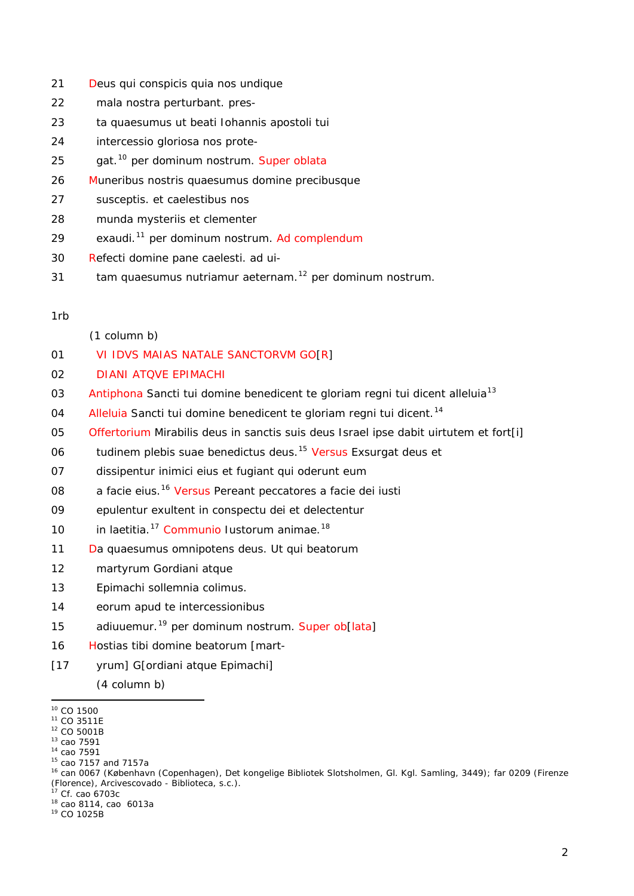- 21 D*eu*s qui conspicis quia nos undiq*ue*
- 22 mala n*ost*ra perturbant. pres-
- 23 ta q*uaesumu*s ut beati Iohannis ap*osto*li tui
- 24 intercessio gloriosa nos prote-
- 25 gat.[10](#page-1-0) per d*omi*n*u*m *nostrum*. Sup*er* obl*ata*
- 26 Muneribus n*ost*ris q*uaesumu*s d*omi*ne p*re*cibusq*ue*
- 27 susceptis. et caelestibus nos
- 28 munda mysteriis *et* clementer
- 29 exaudi.[11](#page-1-1) p*er* d*omi*n*u*m *nostrum.* Ad c*omplendum*
- 30 Refecti d*omi*ne pane caelesti. ad ui-
- 31 tam q*uaesumu*s nutriamur a*et*erna*m*. [12](#page-1-2) p*er dominum nostrum*.

### 1rb

- (1 column b)
- 01 VI ID*VS* MAI*AS* NAT*A*L*E* S*AN*C*T*ORV*M* GO[R]
- 02 DIANI ATQ*VE* EPIMACHI
- 03 A*ntiphona* S*an*c*t*i tui d*omi*ne benedicent te gloria*m* regni tui dicent all*eluia*[13](#page-1-3)
- 04 Al*leluia* S*an*c*t*i tui d*omi*ne benedicent te gloriam regni tui dicent.[14](#page-1-4)
- 05 Of*fertorium* Mirabilis d*eu*s in s*an*c*t*is suis d*eu*s Isr*ae*l ipse dabit uirtute*m et* fort[i]
- 06 tudine*m* plebis suae benedictus d*eu*s.[15](#page-1-5) V*ersus* Exsurgat d*eu*s *et*
- 07 dissipentur inimici eius *et* fugiant qui oderunt eum
- 08 a facie eius.[16](#page-1-6) V*ersus* Pereant peccatores a facie d*e*i iusti
- 09 epulentur exultent in conspectu d*e*i *et* delectentur
- 10 in la*et*itia.[17](#page-1-7) Co*mmunio* Iustoru*m* animae.[18](#page-1-8)
- 11 Da q*uaesumu*s om*ni*p*oten*s d*eu*s. Ut qui beatorum
- 12 martyrum Gordiani atque
- 13 Epimachi sollemnia colimus.
- 14 eorum apud te intercessionib*us*
- 15 adiuuemur.[19](#page-1-9) p*er* d*ominum nostrum.* Super ob[l*ata*]
- 16 Hostias tibi d*omi*ne beatorum [mart-
- [17 yrum] G[ordiani atque Epimachi]
	- (4 column b)

- 
- <span id="page-1-4"></span><span id="page-1-3"></span>

<span id="page-1-8"></span>

<span id="page-1-9"></span>

<span id="page-1-0"></span><sup>&</sup>lt;sup>10</sup> CO 1500

<span id="page-1-2"></span><span id="page-1-1"></span>

<span id="page-1-6"></span><span id="page-1-5"></span>

<sup>&</sup>lt;sup>11</sup> CO 3511E<br><sup>12</sup> CO 5001B<br><sup>13</sup> cao 7591<br><sup>15</sup> cao 7591<br><sup>15</sup> cao 7157 and 7157a<br><sup>16</sup> can 0067 (København (Copenhagen), Det kongelige Bibliotek Slotsholmen, Gl. Kgl. Samling, 3449); far 0209 (Firenze (Florence), Arcivescovado - Biblioteca, s.c.).

<span id="page-1-7"></span> $^{17}$  Cf. cao 6703c<br><sup>18</sup> cao 8114, cao 6013a<br><sup>19</sup> CO 1025B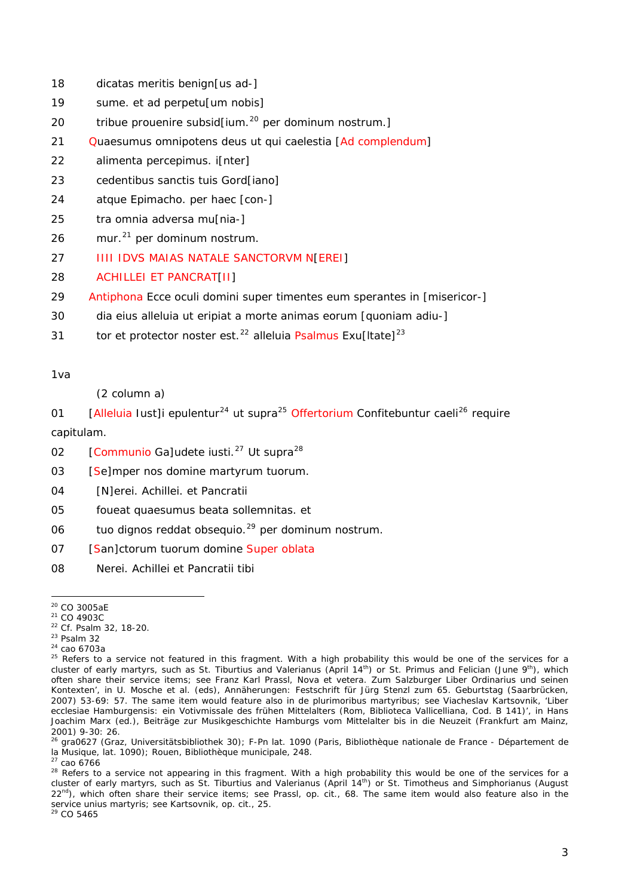18 dicatas meritis benign[us ad-]

- 19 sume. et ad perpetu[um nobis]
- 20 tribue prouenire subsid[ium.[20](#page-2-0) p*er dominum nostrum*.]
- 21 Q*uaesumu*s om*ni*p*oten*s d*eu*s ut qui caelestia [Ad c*omplendum*]
- 22 alimenta percepimus. i[nter]
- 23 cedentibus s*an*c*t*is tuis Gord[iano]
- 24 atq*ue* Epimacho. p*er* haec [con-]
- 25 tra omnia adversa mu[nia-]
- 26 mur.[21](#page-2-1) p*er* d*omi*n*u*m n*ost*r*u*m.
- 27 IIII ID*VS* MAI*AS* NAT*A*L*E* S*AN*C*T*ORV*M* N[EREI]

# 28 ACHILLEI ET PANCRAT[II]

- 29 A*ntiphona* Ecce oculi d*omi*ni super timentes eu*m* sperantes in [misericor-]
- 30 dia eius al*leluia* ut eripiat a morte animas eoru*m* [quoniam adiu-]
- 31 tor *et* protector noster est.[22](#page-2-2) all*eluia* Ps*a*l*mus* Exu[ltate][23](#page-2-3)

1va

(2 column a)

01 [Al*leluia* Iust]i epulentur<sup>[24](#page-2-4)</sup> ut supra<sup>[25](#page-2-5)</sup> Offertorium Confitebuntur caeli<sup>[26](#page-2-6)</sup> require cap*itulam*.

- 02 **[Communio Galudete iusti.<sup>27</sup> Ut supra<sup>28</sup>**
- 03 [Se]mper nos domine martyrum tuorum.
- 04 [N]erei. Achillei. et Pancratii
- 05 foueat q*uaesumu*s beata sollemnitas. et
- 06 tuo dignos reddat obsequio.<sup>29</sup> p*er* d*ominum nostrum.*
- 07 [San]c*t*orum tuorum domine Super oblata
- 08 Nerei. Achillei et Pancratii tibi

-

<span id="page-2-5"></span>

<span id="page-2-1"></span>

<span id="page-2-2"></span>

<span id="page-2-4"></span><span id="page-2-3"></span>

<span id="page-2-0"></span><sup>&</sup>lt;sup>20</sup> CO 3005aE<br>
<sup>21</sup> CO 4903C<br>
<sup>22</sup> Cf. Psalm 32, 18-20.<br>
<sup>23</sup> Psalm 32<br>
<sup>24</sup> cao 6703a<br>
<sup>25</sup> Refers to a service not featured in this fragment. With a high probability this would be one of the services for a cluster of early martyrs, such as St. Tiburtius and Valerianus (April 14<sup>th</sup>) or St. Primus and Felician (June 9<sup>th</sup>), which often share their service items; see Franz Karl Prassl, Nova et vetera. Zum Salzburger Liber Ordinarius und seinen Kontexten', in U. Mosche et al. (eds), *Annäherungen: Festschrift für Jürg Stenzl zum 65. Geburtstag* (Saarbrücken, 2007) 53-69: 57. The same item would feature also in *de plurimoribus martyribus*; see Viacheslav Kartsovnik, '*Liber ecclesiae Hamburgensis*: ein Votivmissale des frühen Mittelalters (Rom, Biblioteca Vallicelliana, Cod. B 141)', in Hans Joachim Marx (ed.), *Beiträge zur Musikgeschichte Hamburgs vom Mittelalter bis in die Neuzeit* (Frankfurt am Mainz, 2001) 9-30: 26.

<span id="page-2-6"></span><sup>26</sup> gra0627 (Graz, Universitätsbibliothek 30); F-Pn lat. 1090 (Paris, Bibliothèque nationale de France - Département de la Musique, lat. 1090); Rouen, Bibliothèque municipale, 248.<br><sup>27</sup> cao 6766

<sup>&</sup>lt;sup>28</sup> Refers to a service not appearing in this fragment. With a high probability this would be one of the services for a cluster of early martyrs, such as St. Tiburtius and Valerianus (April 14th) or St. Timotheus and Simphorianus (August 22<sup>nd</sup>), which often share their service items; see Prassl, op. cit., 68. The same item would also feature also in the service *unius martyris*; see Kartsovnik, op. cit., 25.<br><sup>29</sup> CO 5465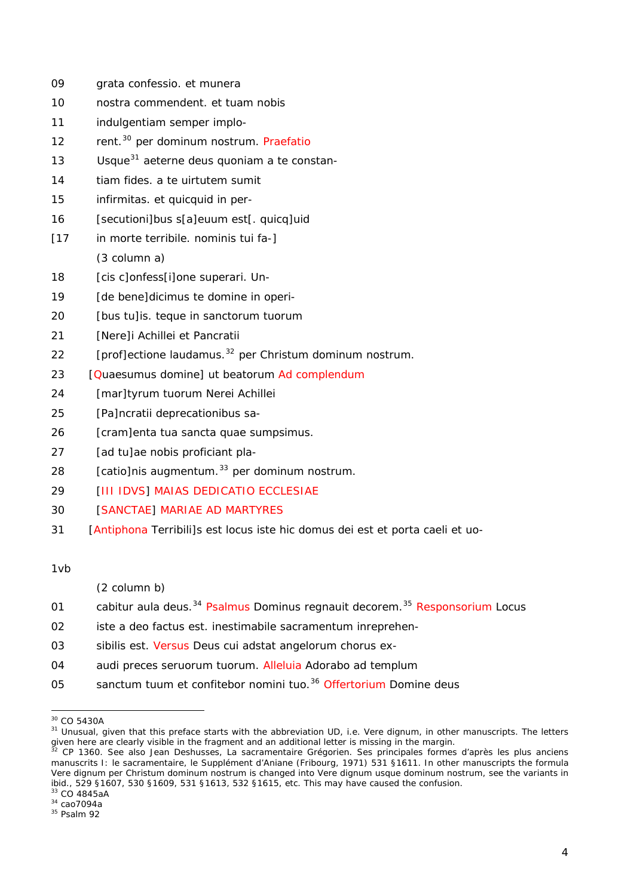| 09   | grata confessio. et munera                                          |
|------|---------------------------------------------------------------------|
| 10   | nostra commendent. et tuam nobis                                    |
| 11   | indulgentiam semper implo-                                          |
| 12   | rent. <sup>30</sup> per d <i>ominum nostrum</i> . Praefatio         |
| 13   | Usque <sup>31</sup> aeterne deus quoniam a te constan-              |
| 14   | tiam fides. a te uirtutem sumit                                     |
| 15   | infirmitas. et quicquid in per-                                     |
| 16   | [secutioni]bus s[a]euum est[. quicq]uid                             |
| [17] | in morte terribile. nominis tui fa-]                                |
|      | (3 column a)                                                        |
| 18   | [cis c]onfess[i]one superari. Un-                                   |
| 19   | [de bene]dicimus te domine in operi-                                |
| 20   | [bus tu]is. teque in sanctorum tuorum                               |
| 21   | [Nere]i Achillei et Pancratii                                       |
| 22   | [prof]ectione laudamus. <sup>32</sup> per Christum dominum nostrum. |
| 23   | [Quaesumus domine] ut beatorum Ad complendum                        |
| 24   | [mar]tyrum tuorum Nerei Achillei                                    |
| 25   | [Pa]ncratii deprecationibus sa-                                     |
| 26   | [cram]enta tua sancta quae sumpsimus.                               |
| 27   | [ad tu]ae nobis proficiant pla-                                     |
| 28   | [catio]nis augmentum. <sup>33</sup> per dominum nostrum.            |
| 29   | [III IDVS] MAIAS DEDICATIO ECCLESIAE                                |
| 30   | [SANCTAE] MARIAE AD MARTYRES                                        |

1 [A*ntiphona* Terribili]s est locus iste hic domus d*e*i est *et* porta caeli *et* uo- 31

1vb

- (2 column b)
- 01 cabitur aula deus.<sup>34</sup> Psalmus Dominus regnauit decorem.<sup>35</sup> Responsorium Locus
- 02 iste a deo factus est. inestimabile sacramentum inreprehen-
- 03 sibilis est. V*ersus* D*eu*s cui adstat angelorum chorus ex-
- 04 audi p*re*ces seruoru*m* tuoru*m*. All*eluia* Adorabo ad te*m*plu*m*
- 05 sanctum tuum et confitebor nomini tuo.<sup>36</sup> Offertorium Domine deus

1

<sup>&</sup>lt;sup>30</sup> CO 5430A

<span id="page-3-0"></span><sup>&</sup>lt;sup>30</sup> CO 5430A<br><sup>31</sup> Unusual, given that this preface starts with the abbreviation UD, i.e. *Vere dignum*, in other manuscripts. The letters given here are clearly visible in the fragment and an additional letter is missing in the margin. 32 CP 1360. See also Jean Deshusses, *La sacramentaire Grégorien. Ses principales formes d'après les plus anciens* **32** CP 1

Vere dignum per Christum dominum nostrum is changed into Vere dignum usque dominum nostrum, see the variants in ibid., 529 §1607, 530 §1609, 531 §1613, 532 §1615, etc. This may have caused the confusion. *manuscrits* I: le sacramentaire, le Supplément d'Aniane (Fribourg, 1971) 531 §1611. In other manuscripts the formula

 $33$  CO 4845aA<br> $34$  cao7094a

 $35$  Psalm 92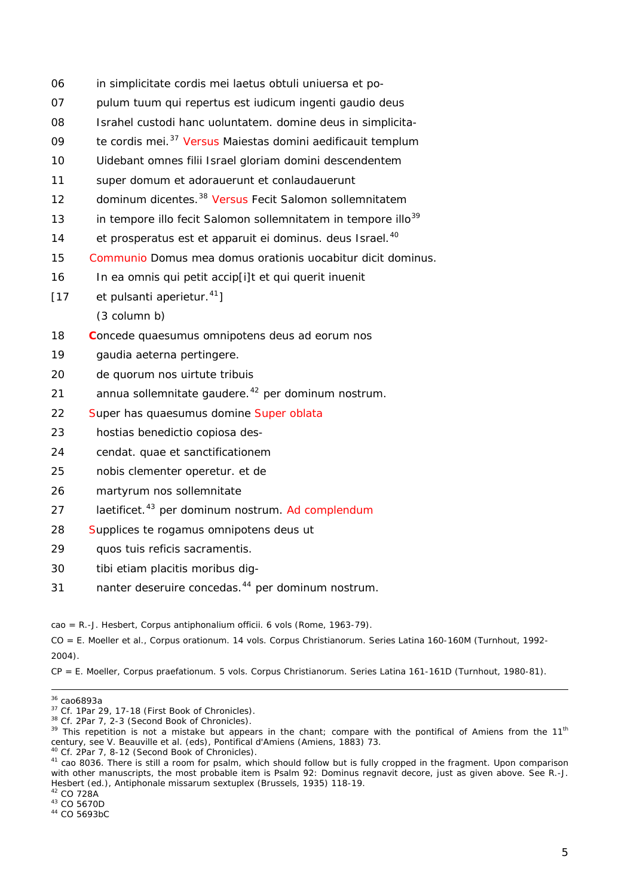- 06 in simplicitate cordis mei la*et*us obtuli uniuersa *et* po-
- 07 pulu*m* tuu*m* qui rep*er*tus est iudicu*m* ingenti gaudio d*eu*s
- 08 Israhel custodi hanc uoluntate*m*. d*omi*ne d*eu*s in simplicita-
- 09 te cordis mei.<sup>37</sup> V*ersus* Maiestas d*omi*ni aedificauit te*m*plu*m*
- 10 Uidebant om*ne*s filii Israel gloriam domini descendentem
- 11 sup*er* domu*m et* adorauerunt *et* conlaudauer*unt*
- 12 d*omi*n*u*m dicentes.[38](#page-4-0) V*ersus* Fecit Salomon sollemnitate*m*
- 13 in tempore illo fecit Salomon sollemnitatem in tempore illo<sup>39</sup>
- 14 *et* prosperatus est *et* apparuit ei d*omi*n*u*s. deus Isr*ae*l.<sup>40</sup>
- 15 Communio Domus mea domus orationis uocabitur dicit dominus.
- 16 In ea omnis qui petit accip[i]t *et* qui querit inuenit
- $[17$  et pulsanti aperietur.<sup>41</sup>]

(3 column b)

- 18 Concede quaesumus omnipotens deus ad eorum nos
- 19 gaudia a*et*erna pertingere.
- 20 de quorum nos uirtute tribuis
- 21 annua sollemnitate gaudere.<sup>42</sup> per dominum nostrum.
- 22 Super has quaesumus domine Super oblata
- 23 hostias benedictio copiosa des-
- 24 cendat. quae *et* s*an*c*t*ificationem
- 25 nobis clementer operetur. et de
- 26 martyrum nos sollemnitate
- *plendum* 27 la*et*ific*et*. 43 per d*ominum nostrum*. Ad c*om*
- 28 Supplices te rogamus omnipotens deus ut
- 29 quos tuis reficis sacramentis.
- 30 tibi *et*iam placitis morib*us* dig-
- 1 nanter deseruire concedas.44 p*er* d*ominum nostrum*. 31

cao = R.-J. Hesbert, *Corpus antiphonalium officii*. 6 vols (Rome, 1963-79).

CO = E. Moeller et al., *Corpus orationum*. 14 vols. *Corpus Christianorum. Series Latina* 160-160M (Turnhout, 1992-2004).

CP = E. Moeller, *Corpus praefationum*. 5 vols. *Corpus Christianorum. Series Latina* 161-161D (Turnhout, 1980-81).

<sup>-</sup>

<span id="page-4-0"></span>

<sup>&</sup>lt;sup>36</sup> cao6893a<br><sup>37</sup> Cf. 1Par 29, 17-18 (First Book of Chronicles).<br><sup>38</sup> Cf. 2Par 7, 2-3 (Second Book of Chronicles).<br><sup>39</sup> This repetition is not a mistake but appears in the chant; compare with the pontifical of Amiens from century, see V. Beauville et al. (eds), *Pontifical d'Amiens* (Amiens, 1883) 73.

<sup>&</sup>lt;sup>40</sup> Cf. 2Par 7, 8-12 (Second Book of Chronicles).<br><sup>41</sup> cao 8036. There is still a room for psalm, which should follow but is fully cropped in the fragment. Upon comparison with other manuscripts, the most probable item is Psalm 92: *Dominus regnavit decore*, just as given above. See R.-J. Hesbert (ed.), *Antiphonale missarum sextuplex* (Brussels, 1935) 118-19.<br><sup>42</sup> CO 728A<br><sup>43</sup> CO 5670D<br><sup>44</sup> CO 5693bC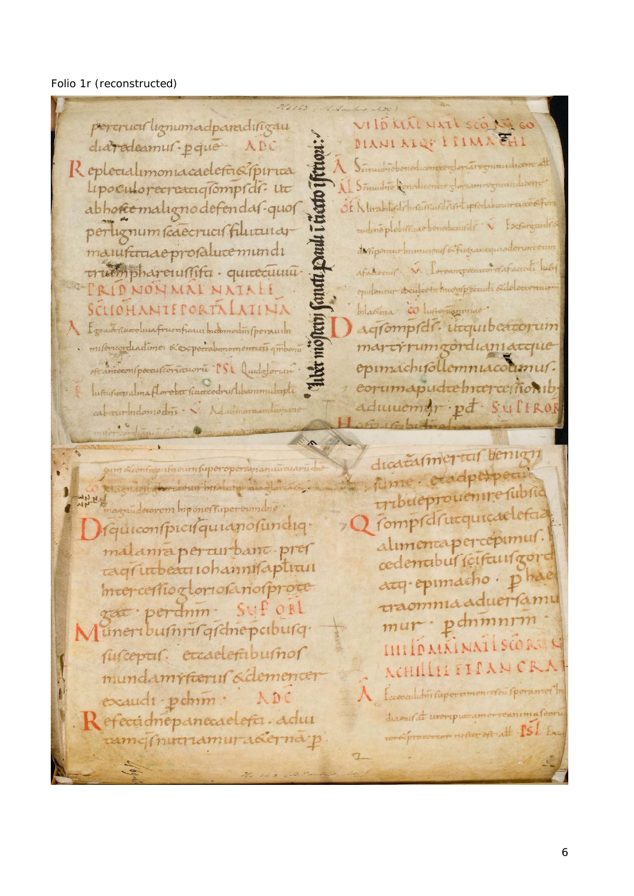## Folio 1r (reconstructed)

263763  $\frac{1}{2} \int_{\mathbb{R}^2} \mathcal{L}_\mu \left( \frac{1}{2} \right) \mathcal{L}_\mu \left( \frac{1}{2} \right) \mathcal{L}_\mu \left( \frac{1}{2} \right)$ VIID KILL NATI SCORE GO percruculignumadparadingau MANI MIQE I HIMA CHI diaradeamur pque ADC Sciendrichenediconocer foriaregmandiam att Replecialimoniacadefa&pirica 5 Somulto Conductive of Consent regni upoculorecreatigompidi. ut Of Nurabilistr Instantial And ipsoclabization abhorcomalignodefendas-quos rudineplebimize benedicanter . perlignum scaecrucis filiuturar dunpenaur minicious Afriquaniques don manificraaeprofalucemundi souir S. Coroampeacacordistance luter trumphareumifu - quitecumueputement deutsche knoonpeel odeleerena CRIDNONMALNATALI SCLIOHANTEPORTALATINA mladona co husomanomus. agfompfdf. utcquibercorum Egoach rideroluna frucuficant modemodin fpermuten martrumgordianiacque misericordiactimos exepectabanomentaria quiboni epimachifollemniacolumur. of anceconspocartionationa ISL Quidatorum corumapudremcorcemonib Informer alma floroba navcodru libanmulapli adumement pt Sulikol cabreur indomocini . V. Aducimentary

de iladim fuperoperanganunalaru rekomplinalny mogle ANNE magnulacarom Imponentuperenmane Guiconspicisquianosundiq. malanrapercurbanc prer tagrindeaniohannifaptiun mercessiogloriosanosproce zat: perdnin. SUF OBL Muneribumrirgichepciburg susceptus. etcaelestubushor mundamrfteruf sidementer exaudi pchim: Refeccionepanecaelera. adui tamcinutramuradernap

dicatamericis benign Alme. etadperpetu tribueprouenire subsid Q rompretrucquicaclefa. alumentapercepimus. cedenabul scifausgort acq. epimacho. ph traomnia aduería mur · pdnmnrm IIII ID MAINAILSCOR ACHILLLI FILANC Eccessaludin supercommenceren sporamer to durent at tworp paramorroanima for recrope notion of att ISI Ex